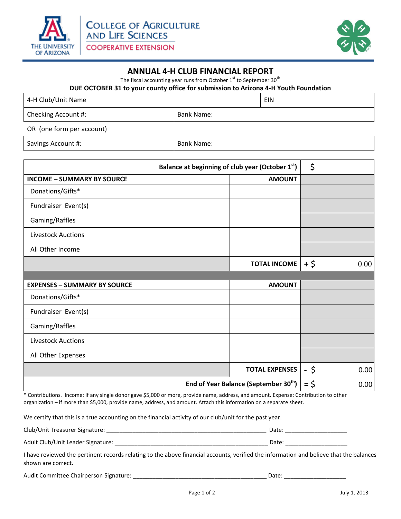

j



## **ANNUAL 4-H CLUB FINANCIAL REPORT**

The fiscal accounting year runs from October  $1<sup>st</sup>$  to September 30<sup>th</sup>

**DUE OCTOBER 31 to your county office for submission to Arizona 4-H Youth Foundation**

| 4-H Club/Unit Name        |            | EIN |
|---------------------------|------------|-----|
| Checking Account #:       | Bank Name: |     |
| OR (one form per account) |            |     |

Savings Account #:  $\vert$  Bank Name:

| Balance at beginning of club year (October 1 <sup>st</sup> ) |                       | \$     |      |
|--------------------------------------------------------------|-----------------------|--------|------|
| <b>INCOME - SUMMARY BY SOURCE</b>                            | <b>AMOUNT</b>         |        |      |
| Donations/Gifts*                                             |                       |        |      |
| Fundraiser Event(s)                                          |                       |        |      |
| Gaming/Raffles                                               |                       |        |      |
| <b>Livestock Auctions</b>                                    |                       |        |      |
| All Other Income                                             |                       |        |      |
|                                                              | <b>TOTAL INCOME</b>   | $+$ \$ | 0.00 |
|                                                              |                       |        |      |
| <b>EXPENSES - SUMMARY BY SOURCE</b>                          | <b>AMOUNT</b>         |        |      |
| Donations/Gifts*                                             |                       |        |      |
| Fundraiser Event(s)                                          |                       |        |      |
| Gaming/Raffles                                               |                       |        |      |
| <b>Livestock Auctions</b>                                    |                       |        |      |
| All Other Expenses                                           |                       |        |      |
|                                                              | <b>TOTAL EXPENSES</b> | - \$   | 0.00 |
| End of Year Balance (September 30 <sup>th</sup> )            |                       | $=$ \$ | 0.00 |

\* Contributions. Income: If any single donor gave \$5,000 or more, provide name, address, and amount. Expense: Contribution to other organization – if more than \$5,000, provide name, address, and amount. Attach this information on a separate sheet.

We certify that this is a true accounting on the financial activity of our club/unit for the past year.

| Club/Unit Treasurer Signature:    | Date |
|-----------------------------------|------|
| Adult Club/Unit Leader Signature: | Date |

I have reviewed the pertinent records relating to the above financial accounts, verified the information and believe that the balances shown are correct.

| Audit Committee Chairperson Signature: |  |  |  |
|----------------------------------------|--|--|--|
|----------------------------------------|--|--|--|

Audit Committee Chairperson Signature: \_\_\_\_\_\_\_\_\_\_\_\_\_\_\_\_\_\_\_\_\_\_\_\_\_\_\_\_\_\_\_\_\_\_\_\_\_\_\_\_\_ Date: \_\_\_\_\_\_\_\_\_\_\_\_\_\_\_\_\_\_\_